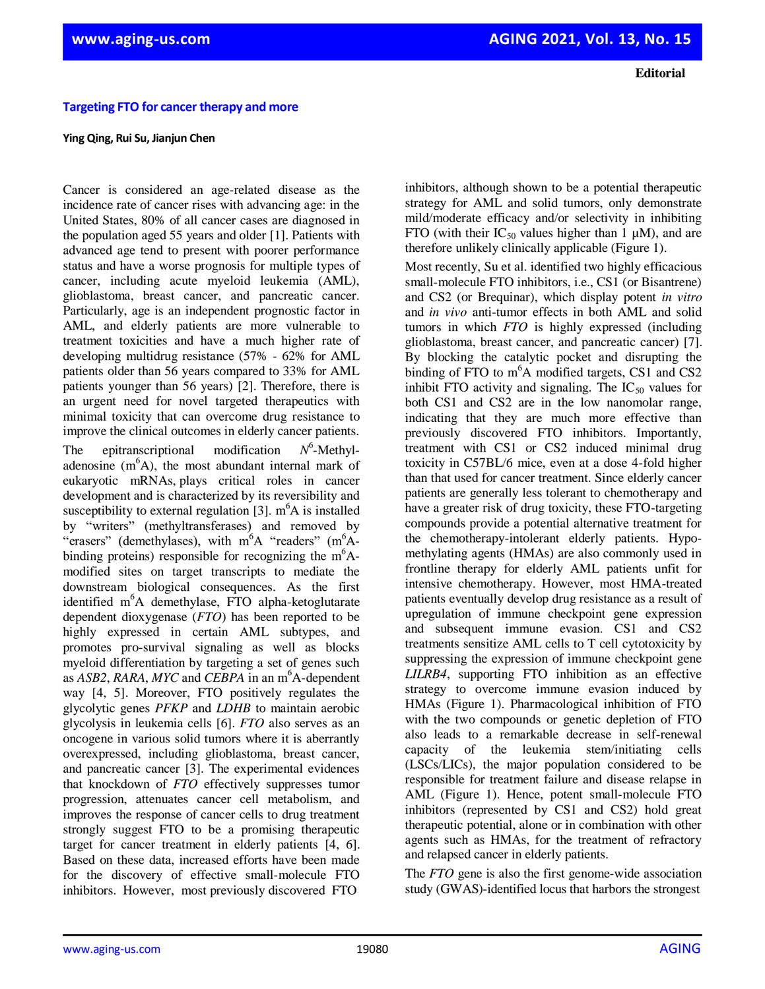## **Targeting FTO for cancer therapy and more**

## **Ying Qing, Rui Su, Jianjun Chen**

Cancer is considered an age-related disease as the incidence rate of cancer rises with advancing age: in the United States, 80% of all cancer cases are diagnosed in the population aged 55 years and older [1]. Patients with advanced age tend to present with poorer performance status and have a worse prognosis for multiple types of cancer, including acute myeloid leukemia (AML), glioblastoma, breast cancer, and pancreatic cancer. Particularly, age is an independent prognostic factor in AML, and elderly patients are more vulnerable to treatment toxicities and have a much higher rate of developing multidrug resistance (57% - 62% for AML patients older than 56 years compared to 33% for AML patients younger than 56 years) [2]. Therefore, there is an urgent need for novel targeted therapeutics with minimal toxicity that can overcome drug resistance to improve the clinical outcomes in elderly cancer patients.

The epitranscriptional modification 6 -Methyladenosine  $(m<sup>o</sup>A)$ , the most abundant internal mark of eukaryotic mRNAs, plays critical roles in cancer development and is characterized by its reversibility and susceptibility to external regulation [3].  $m<sup>6</sup>A$  is installed by "writers" (methyltransferases) and removed by "erasers" (demethylases), with  $m<sup>6</sup>A$  "readers" ( $m<sup>6</sup>A$ binding proteins) responsible for recognizing the  $m<sup>6</sup>A$ modified sites on target transcripts to mediate the downstream biological consequences. As the first identified  $m<sup>6</sup>A$  demethylase, FTO alpha-ketoglutarate dependent dioxygenase (*FTO*) has been reported to be highly expressed in certain AML subtypes, and promotes pro-survival signaling as well as blocks myeloid differentiation by targeting a set of genes such as *ASB2*, *RARA*, *MYC* and *CEBPA* in an m<sup>6</sup>A-dependent way [4, 5]. Moreover, FTO positively regulates the glycolytic genes *PFKP* and *LDHB* to maintain aerobic glycolysis in leukemia cells [6]. *FTO* also serves as an oncogene in various solid tumors where it is aberrantly overexpressed, including glioblastoma, breast cancer, and pancreatic cancer [3]. The experimental evidences that knockdown of *FTO* effectively suppresses tumor progression, attenuates cancer cell metabolism, and improves the response of cancer cells to drug treatment strongly suggest FTO to be a promising therapeutic target for cancer treatment in elderly patients [4, 6]. Based on these data, increased efforts have been made for the discovery of effective small-molecule FTO inhibitors. However, most previously discovered FTO

inhibitors, although shown to be a potential therapeutic strategy for AML and solid tumors, only demonstrate mild/moderate efficacy and/or selectivity in inhibiting FTO (with their  $IC_{50}$  values higher than 1  $\mu$ M), and are therefore unlikely clinically applicable (Figure 1).

Most recently, Su et al. identified two highly efficacious small-molecule FTO inhibitors, i.e., CS1 (or Bisantrene) and CS2 (or Brequinar), which display potent *in vitro* and *in vivo* anti-tumor effects in both AML and solid tumors in which *FTO* is highly expressed (including glioblastoma, breast cancer, and pancreatic cancer) [7]. By blocking the catalytic pocket and disrupting the binding of FTO to  $m<sup>6</sup>A$  modified targets, CS1 and CS2 inhibit FTO activity and signaling. The  $IC_{50}$  values for both CS1 and CS2 are in the low nanomolar range, indicating that they are much more effective than previously discovered FTO inhibitors. Importantly, treatment with CS1 or CS2 induced minimal drug toxicity in C57BL/6 mice, even at a dose 4-fold higher than that used for cancer treatment. Since elderly cancer patients are generally less tolerant to chemotherapy and have a greater risk of drug toxicity, these FTO-targeting compounds provide a potential alternative treatment for the chemotherapy-intolerant elderly patients. Hypomethylating agents (HMAs) are also commonly used in frontline therapy for elderly AML patients unfit for intensive chemotherapy. However, most HMA-treated patients eventually develop drug resistance as a result of upregulation of immune checkpoint gene expression and subsequent immune evasion. CS1 and CS2 treatments sensitize AML cells to T cell cytotoxicity by suppressing the expression of immune checkpoint gene *LILRB4*, supporting FTO inhibition as an effective strategy to overcome immune evasion induced by HMAs (Figure 1). Pharmacological inhibition of FTO with the two compounds or genetic depletion of FTO also leads to a remarkable decrease in self-renewal capacity of the leukemia stem/initiating cells (LSCs/LICs), the major population considered to be responsible for treatment failure and disease relapse in AML (Figure 1). Hence, potent small-molecule FTO inhibitors (represented by CS1 and CS2) hold great therapeutic potential, alone or in combination with other agents such as HMAs, for the treatment of refractory and relapsed cancer in elderly patients.

The *FTO* gene is also the first genome-wide association study (GWAS)-identified locus that harbors the strongest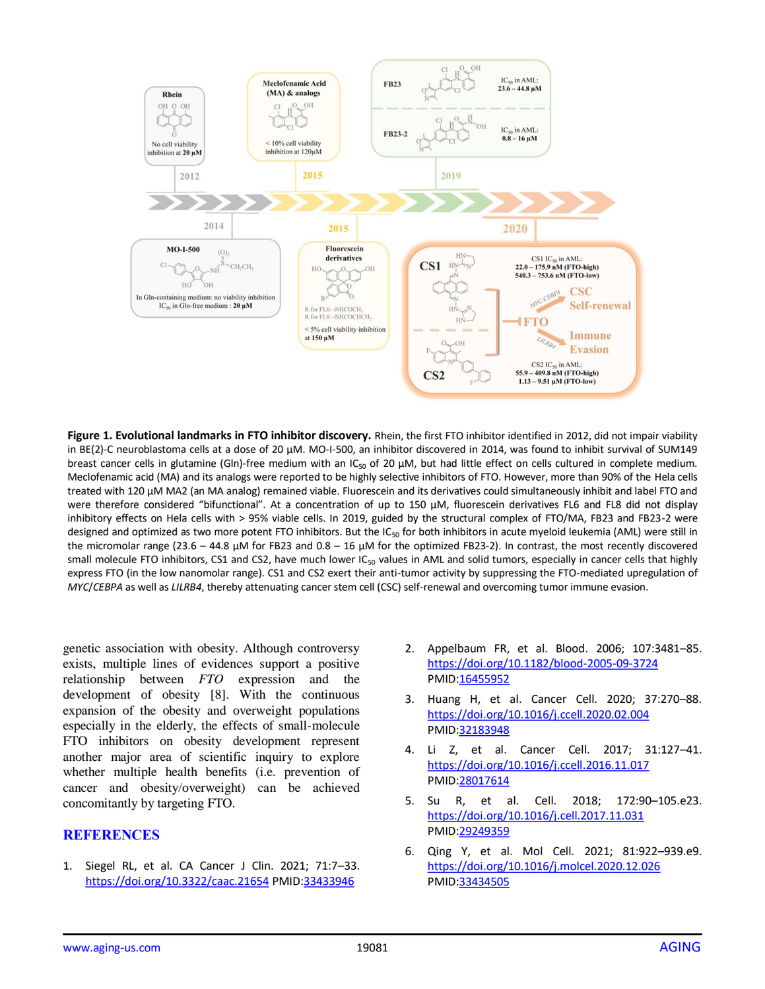

**Figure 1. Evolutional landmarks in FTO inhibitor discovery.** Rhein, the first FTO inhibitor identified in 2012, did not impair viability in BE(2)-C neuroblastoma cells at a dose of 20 µM. MO-I-500, an inhibitor discovered in 2014, was found to inhibit survival of SUM149 breast cancer cells in glutamine (Gln)-free medium with an IC<sub>50</sub> of 20  $\mu$ M, but had little effect on cells cultured in complete medium. Meclofenamic acid (MA) and its analogs were reported to be highly selective inhibitors of FTO. However, more than 90% of the Hela cells treated with 120 µM MA2 (an MA analog) remained viable. Fluorescein and its derivatives could simultaneously inhibit and label FTO and were therefore considered "bifunctional". At a concentration of up to 150 µM, fluorescein derivatives FL6 and FL8 did not display inhibitory effects on Hela cells with > 95% viable cells. In 2019, guided by the structural complex of FTO/MA, FB23 and FB23-2 were designed and optimized as two more potent FTO inhibitors. But the IC<sub>50</sub> for both inhibitors in acute myeloid leukemia (AML) were still in the micromolar range (23.6 – 44.8  $\mu$ M for FB23 and 0.8 – 16  $\mu$ M for the optimized FB23-2). In contrast, the most recently discovered small molecule FTO inhibitors, CS1 and CS2, have much lower IC<sub>50</sub> values in AML and solid tumors, especially in cancer cells that highly express FTO (in the low nanomolar range). CS1 and CS2 exert their anti-tumor activity by suppressing the FTO-mediated upregulation of *MYC*/*CEBPA* as well as *LILRB4*, thereby attenuating cancer stem cell (CSC) self-renewal and overcoming tumor immune evasion.

genetic association with obesity. Although controversy exists, multiple lines of evidences support a positive relationship between *FTO* expression and the development of obesity [8]. With the continuous expansion of the obesity and overweight populations especially in the elderly, the effects of small-molecule FTO inhibitors on obesity development represent another major area of scientific inquiry to explore whether multiple health benefits (i.e. prevention of cancer and obesity/overweight) can be achieved concomitantly by targeting FTO.

## **REFERENCES**

1. Siegel RL, et al. CA Cancer J Clin. 2021; 71:7–33. <https://doi.org/10.3322/caac.21654> PMI[D:33433946](https://pubmed.ncbi.nlm.nih.gov/33433946/) 

- 2. Appelbaum FR, et al. Blood. 2006; 107:3481–85. <https://doi.org/10.1182/blood-2005-09-3724> PMID[:16455952](https://pubmed.ncbi.nlm.nih.gov/16455952/)
- 3. Huang H, et al. Cancer Cell. 2020; 37:270–88. <https://doi.org/10.1016/j.ccell.2020.02.004> [PMID:32183948](https://www.ncbi.nlm.nih.gov/entrez/query.fcgi?cmd=Retrieve&db=PubMed&list_uids=32183948&dopt=Abstract)
- 4. Li Z, et al. Cancer Cell. 2017; 31:127–41. <https://doi.org/10.1016/j.ccell.2016.11.017> [PMID:28017614](https://www.ncbi.nlm.nih.gov/entrez/query.fcgi?cmd=Retrieve&db=PubMed&list_uids=28017614&dopt=Abstract)
- 5. Su R, et al. Cell. 2018; 172:90–105.e23. <https://doi.org/10.1016/j.cell.2017.11.031> [PMID:29249359](https://www.ncbi.nlm.nih.gov/entrez/query.fcgi?cmd=Retrieve&db=PubMed&list_uids=29249359&dopt=Abstract)
- 6. Qing Y, et al. Mol Cell. 2021; 81:922–939.e9. <https://doi.org/10.1016/j.molcel.2020.12.026> [PMID:33434505](https://www.ncbi.nlm.nih.gov/entrez/query.fcgi?cmd=Retrieve&db=PubMed&list_uids=33434505&dopt=Abstract)